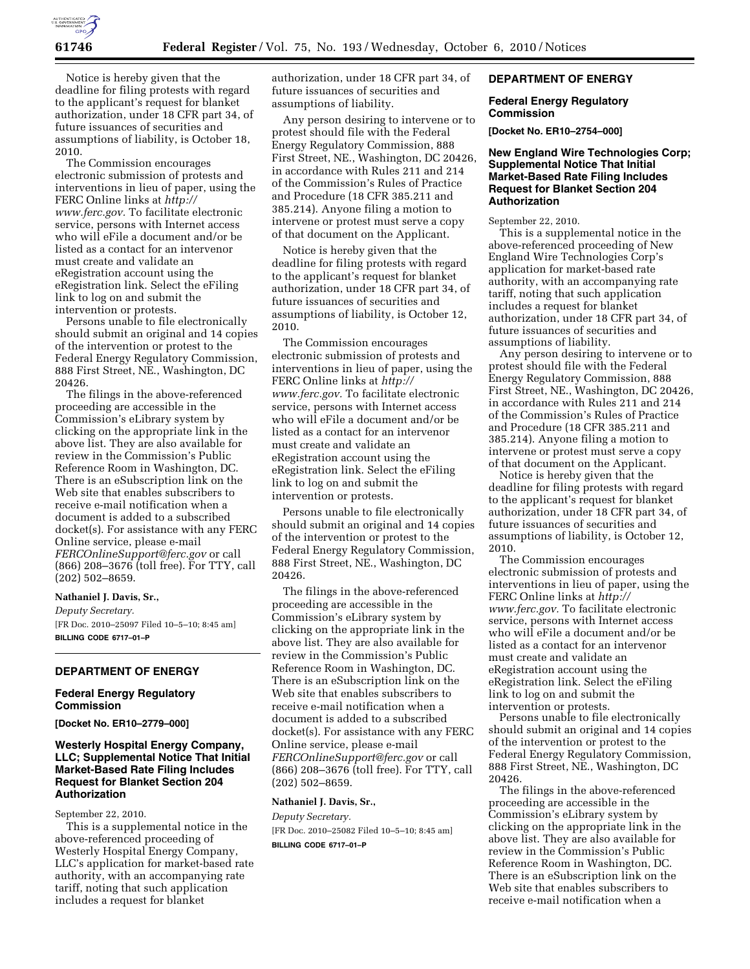

Notice is hereby given that the deadline for filing protests with regard to the applicant's request for blanket authorization, under 18 CFR part 34, of future issuances of securities and assumptions of liability, is October 18, 2010.

The Commission encourages electronic submission of protests and interventions in lieu of paper, using the FERC Online links at *[http://](http://www.ferc.gov)  [www.ferc.gov.](http://www.ferc.gov)* To facilitate electronic service, persons with Internet access who will eFile a document and/or be listed as a contact for an intervenor must create and validate an eRegistration account using the eRegistration link. Select the eFiling link to log on and submit the intervention or protests.

Persons unable to file electronically should submit an original and 14 copies of the intervention or protest to the Federal Energy Regulatory Commission, 888 First Street, NE., Washington, DC 20426.

The filings in the above-referenced proceeding are accessible in the Commission's eLibrary system by clicking on the appropriate link in the above list. They are also available for review in the Commission's Public Reference Room in Washington, DC. There is an eSubscription link on the Web site that enables subscribers to receive e-mail notification when a document is added to a subscribed docket(s). For assistance with any FERC Online service, please e-mail *[FERCOnlineSupport@ferc.gov](mailto:FERCOnlineSupport@ferc.gov)* or call (866) 208–3676 (toll free). For TTY, call (202) 502–8659.

### **Nathaniel J. Davis, Sr.,**

*Deputy Secretary.*  [FR Doc. 2010–25097 Filed 10–5–10; 8:45 am] **BILLING CODE 6717–01–P** 

## **DEPARTMENT OF ENERGY**

## **Federal Energy Regulatory Commission**

**[Docket No. ER10–2779–000]** 

# **Westerly Hospital Energy Company, LLC; Supplemental Notice That Initial Market-Based Rate Filing Includes Request for Blanket Section 204 Authorization**

September 22, 2010.

This is a supplemental notice in the above-referenced proceeding of Westerly Hospital Energy Company, LLC's application for market-based rate authority, with an accompanying rate tariff, noting that such application includes a request for blanket

authorization, under 18 CFR part 34, of future issuances of securities and assumptions of liability.

Any person desiring to intervene or to protest should file with the Federal Energy Regulatory Commission, 888 First Street, NE., Washington, DC 20426, in accordance with Rules 211 and 214 of the Commission's Rules of Practice and Procedure (18 CFR 385.211 and 385.214). Anyone filing a motion to intervene or protest must serve a copy of that document on the Applicant.

Notice is hereby given that the deadline for filing protests with regard to the applicant's request for blanket authorization, under 18 CFR part 34, of future issuances of securities and assumptions of liability, is October 12, 2010.

The Commission encourages electronic submission of protests and interventions in lieu of paper, using the FERC Online links at *[http://](http://www.ferc.gov)  [www.ferc.gov.](http://www.ferc.gov)* To facilitate electronic service, persons with Internet access who will eFile a document and/or be listed as a contact for an intervenor must create and validate an eRegistration account using the eRegistration link. Select the eFiling link to log on and submit the intervention or protests.

Persons unable to file electronically should submit an original and 14 copies of the intervention or protest to the Federal Energy Regulatory Commission, 888 First Street, NE., Washington, DC 20426.

The filings in the above-referenced proceeding are accessible in the Commission's eLibrary system by clicking on the appropriate link in the above list. They are also available for review in the Commission's Public Reference Room in Washington, DC. There is an eSubscription link on the Web site that enables subscribers to receive e-mail notification when a document is added to a subscribed docket(s). For assistance with any FERC Online service, please e-mail *[FERCOnlineSupport@ferc.gov](mailto:FERCOnlineSupport@ferc.gov)* or call (866) 208–3676 (toll free). For TTY, call (202) 502–8659.

#### **Nathaniel J. Davis, Sr.,**

*Deputy Secretary.*  [FR Doc. 2010–25082 Filed 10–5–10; 8:45 am] **BILLING CODE 6717–01–P** 

# **DEPARTMENT OF ENERGY**

## **Federal Energy Regulatory Commission**

**[Docket No. ER10–2754–000]** 

## **New England Wire Technologies Corp; Supplemental Notice That Initial Market-Based Rate Filing Includes Request for Blanket Section 204 Authorization**

September 22, 2010.

This is a supplemental notice in the above-referenced proceeding of New England Wire Technologies Corp's application for market-based rate authority, with an accompanying rate tariff, noting that such application includes a request for blanket authorization, under 18 CFR part 34, of future issuances of securities and assumptions of liability.

Any person desiring to intervene or to protest should file with the Federal Energy Regulatory Commission, 888 First Street, NE., Washington, DC 20426, in accordance with Rules 211 and 214 of the Commission's Rules of Practice and Procedure (18 CFR 385.211 and 385.214). Anyone filing a motion to intervene or protest must serve a copy of that document on the Applicant.

Notice is hereby given that the deadline for filing protests with regard to the applicant's request for blanket authorization, under 18 CFR part 34, of future issuances of securities and assumptions of liability, is October 12, 2010.

The Commission encourages electronic submission of protests and interventions in lieu of paper, using the FERC Online links at *[http://](http://www.ferc.gov)  [www.ferc.gov.](http://www.ferc.gov)* To facilitate electronic service, persons with Internet access who will eFile a document and/or be listed as a contact for an intervenor must create and validate an eRegistration account using the eRegistration link. Select the eFiling link to log on and submit the intervention or protests.

Persons unable to file electronically should submit an original and 14 copies of the intervention or protest to the Federal Energy Regulatory Commission, 888 First Street, NE., Washington, DC 20426.

The filings in the above-referenced proceeding are accessible in the Commission's eLibrary system by clicking on the appropriate link in the above list. They are also available for review in the Commission's Public Reference Room in Washington, DC. There is an eSubscription link on the Web site that enables subscribers to receive e-mail notification when a